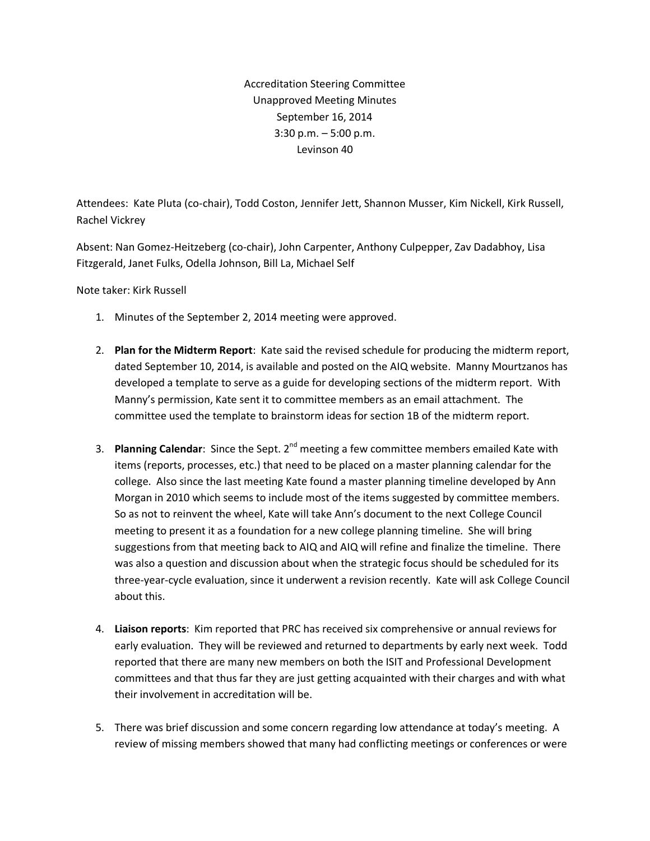Accreditation Steering Committee Unapproved Meeting Minutes September 16, 2014 3:30 p.m. – 5:00 p.m. Levinson 40

Attendees: Kate Pluta (co-chair), Todd Coston, Jennifer Jett, Shannon Musser, Kim Nickell, Kirk Russell, Rachel Vickrey

Absent: Nan Gomez-Heitzeberg (co-chair), John Carpenter, Anthony Culpepper, Zav Dadabhoy, Lisa Fitzgerald, Janet Fulks, Odella Johnson, Bill La, Michael Self

Note taker: Kirk Russell

- 1. Minutes of the September 2, 2014 meeting were approved.
- 2. **Plan for the Midterm Report**: Kate said the revised schedule for producing the midterm report, dated September 10, 2014, is available and posted on the AIQ website. Manny Mourtzanos has developed a template to serve as a guide for developing sections of the midterm report. With Manny's permission, Kate sent it to committee members as an email attachment. The committee used the template to brainstorm ideas for section 1B of the midterm report.
- 3. **Planning Calendar**: Since the Sept. 2nd meeting a few committee members emailed Kate with items (reports, processes, etc.) that need to be placed on a master planning calendar for the college. Also since the last meeting Kate found a master planning timeline developed by Ann Morgan in 2010 which seems to include most of the items suggested by committee members. So as not to reinvent the wheel, Kate will take Ann's document to the next College Council meeting to present it as a foundation for a new college planning timeline. She will bring suggestions from that meeting back to AIQ and AIQ will refine and finalize the timeline. There was also a question and discussion about when the strategic focus should be scheduled for its three-year-cycle evaluation, since it underwent a revision recently. Kate will ask College Council about this.
- 4. **Liaison reports**: Kim reported that PRC has received six comprehensive or annual reviews for early evaluation. They will be reviewed and returned to departments by early next week. Todd reported that there are many new members on both the ISIT and Professional Development committees and that thus far they are just getting acquainted with their charges and with what their involvement in accreditation will be.
- 5. There was brief discussion and some concern regarding low attendance at today's meeting. A review of missing members showed that many had conflicting meetings or conferences or were